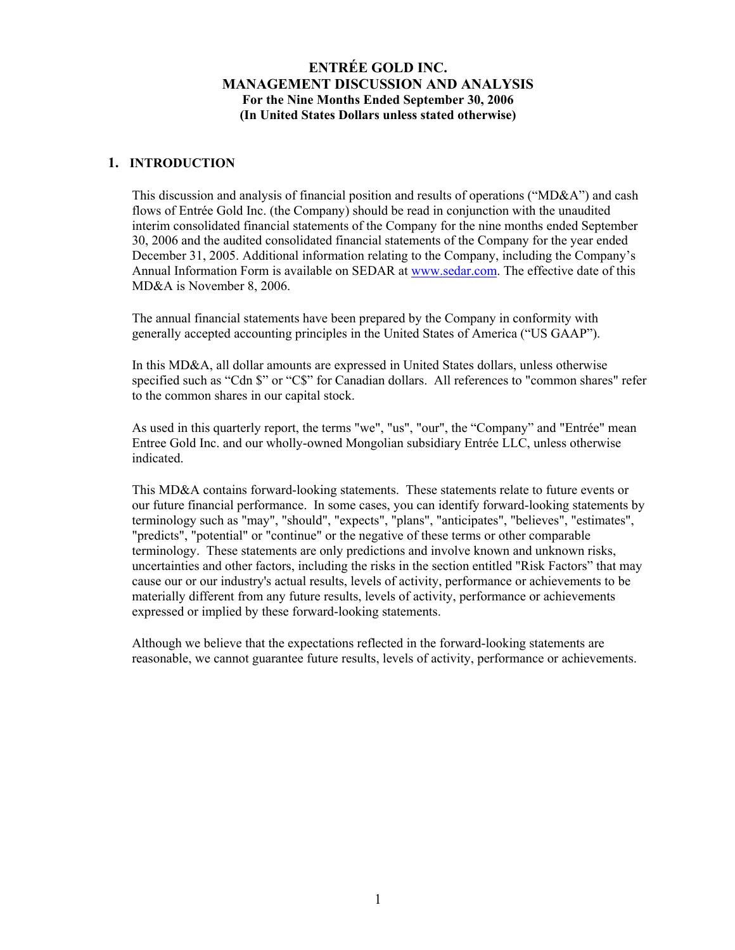## **1. INTRODUCTION**

This discussion and analysis of financial position and results of operations ("MD&A") and cash flows of Entrée Gold Inc. (the Company) should be read in conjunction with the unaudited interim consolidated financial statements of the Company for the nine months ended September 30, 2006 and the audited consolidated financial statements of the Company for the year ended December 31, 2005. Additional information relating to the Company, including the Company's Annual Information Form is available on SEDAR at [www.sedar.com](http://www.sedar.com/). The effective date of this MD&A is November 8, 2006.

The annual financial statements have been prepared by the Company in conformity with generally accepted accounting principles in the United States of America ("US GAAP").

In this MD&A, all dollar amounts are expressed in United States dollars, unless otherwise specified such as "Cdn \$" or "C\$" for Canadian dollars. All references to "common shares" refer to the common shares in our capital stock.

As used in this quarterly report, the terms "we", "us", "our", the "Company" and "Entrée" mean Entree Gold Inc. and our wholly-owned Mongolian subsidiary Entrée LLC, unless otherwise indicated.

This MD&A contains forward-looking statements. These statements relate to future events or our future financial performance. In some cases, you can identify forward-looking statements by terminology such as "may", "should", "expects", "plans", "anticipates", "believes", "estimates", "predicts", "potential" or "continue" or the negative of these terms or other comparable terminology. These statements are only predictions and involve known and unknown risks, uncertainties and other factors, including the risks in the section entitled "Risk Factors" that may cause our or our industry's actual results, levels of activity, performance or achievements to be materially different from any future results, levels of activity, performance or achievements expressed or implied by these forward-looking statements.

Although we believe that the expectations reflected in the forward-looking statements are reasonable, we cannot guarantee future results, levels of activity, performance or achievements.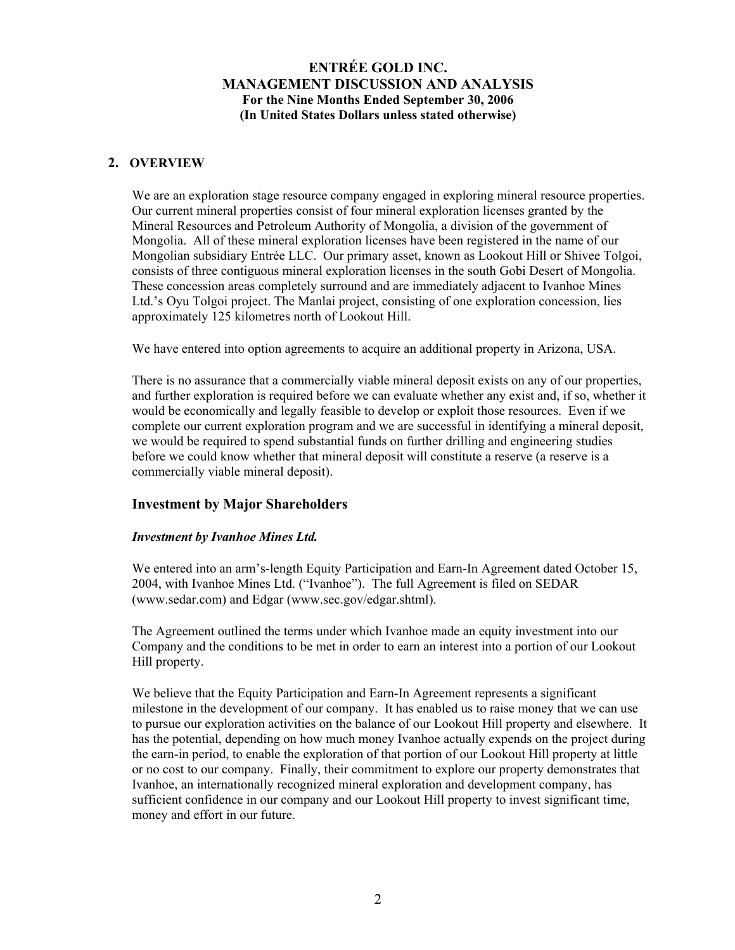# **2. OVERVIEW**

We are an exploration stage resource company engaged in exploring mineral resource properties. Our current mineral properties consist of four mineral exploration licenses granted by the Mineral Resources and Petroleum Authority of Mongolia, a division of the government of Mongolia. All of these mineral exploration licenses have been registered in the name of our Mongolian subsidiary Entrée LLC. Our primary asset, known as Lookout Hill or Shivee Tolgoi, consists of three contiguous mineral exploration licenses in the south Gobi Desert of Mongolia. These concession areas completely surround and are immediately adjacent to Ivanhoe Mines Ltd.'s Oyu Tolgoi project. The Manlai project, consisting of one exploration concession, lies approximately 125 kilometres north of Lookout Hill.

We have entered into option agreements to acquire an additional property in Arizona, USA.

There is no assurance that a commercially viable mineral deposit exists on any of our properties, and further exploration is required before we can evaluate whether any exist and, if so, whether it would be economically and legally feasible to develop or exploit those resources. Even if we complete our current exploration program and we are successful in identifying a mineral deposit, we would be required to spend substantial funds on further drilling and engineering studies before we could know whether that mineral deposit will constitute a reserve (a reserve is a commercially viable mineral deposit).

## **Investment by Major Shareholders**

## *Investment by Ivanhoe Mines Ltd.*

We entered into an arm's-length Equity Participation and Earn-In Agreement dated October 15, 2004, with Ivanhoe Mines Ltd. ("Ivanhoe"). The full Agreement is filed on SEDAR (www.sedar.com) and Edgar (www.sec.gov/edgar.shtml).

The Agreement outlined the terms under which Ivanhoe made an equity investment into our Company and the conditions to be met in order to earn an interest into a portion of our Lookout Hill property.

We believe that the Equity Participation and Earn-In Agreement represents a significant milestone in the development of our company. It has enabled us to raise money that we can use to pursue our exploration activities on the balance of our Lookout Hill property and elsewhere. It has the potential, depending on how much money Ivanhoe actually expends on the project during the earn-in period, to enable the exploration of that portion of our Lookout Hill property at little or no cost to our company. Finally, their commitment to explore our property demonstrates that Ivanhoe, an internationally recognized mineral exploration and development company, has sufficient confidence in our company and our Lookout Hill property to invest significant time, money and effort in our future.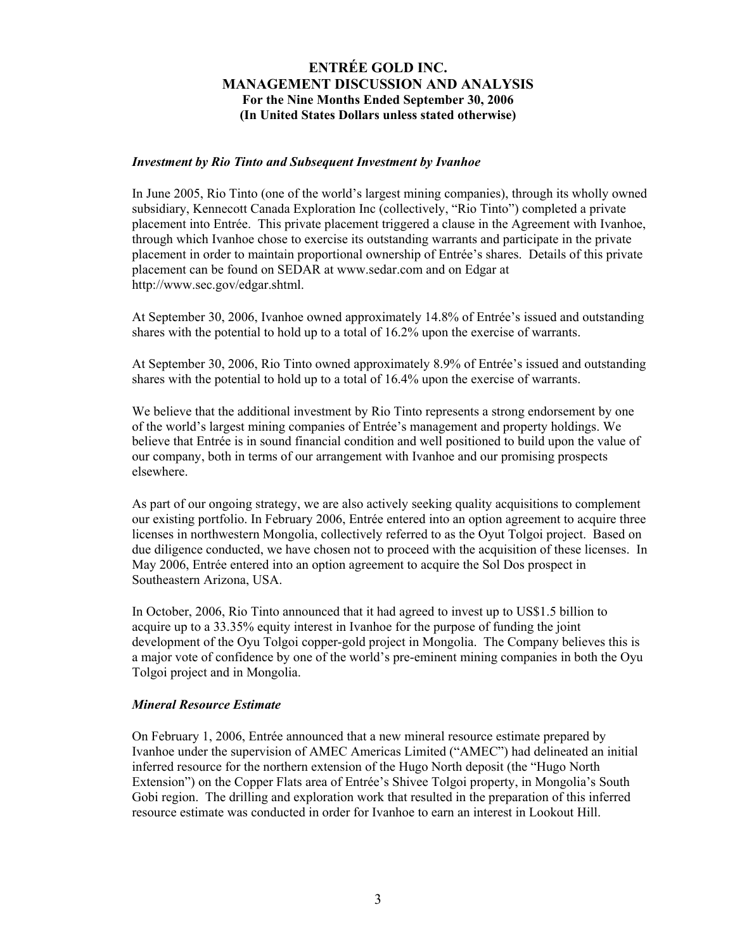#### *Investment by Rio Tinto and Subsequent Investment by Ivanhoe*

In June 2005, Rio Tinto (one of the world's largest mining companies), through its wholly owned subsidiary, Kennecott Canada Exploration Inc (collectively, "Rio Tinto") completed a private placement into Entrée. This private placement triggered a clause in the Agreement with Ivanhoe, through which Ivanhoe chose to exercise its outstanding warrants and participate in the private placement in order to maintain proportional ownership of Entrée's shares. Details of this private placement can be found on SEDAR at www.sedar.com and on Edgar at http://www.sec.gov/edgar.shtml.

At September 30, 2006, Ivanhoe owned approximately 14.8% of Entrée's issued and outstanding shares with the potential to hold up to a total of 16.2% upon the exercise of warrants.

At September 30, 2006, Rio Tinto owned approximately 8.9% of Entrée's issued and outstanding shares with the potential to hold up to a total of 16.4% upon the exercise of warrants.

We believe that the additional investment by Rio Tinto represents a strong endorsement by one of the world's largest mining companies of Entrée's management and property holdings. We believe that Entrée is in sound financial condition and well positioned to build upon the value of our company, both in terms of our arrangement with Ivanhoe and our promising prospects elsewhere.

As part of our ongoing strategy, we are also actively seeking quality acquisitions to complement our existing portfolio. In February 2006, Entrée entered into an option agreement to acquire three licenses in northwestern Mongolia, collectively referred to as the Oyut Tolgoi project. Based on due diligence conducted, we have chosen not to proceed with the acquisition of these licenses. In May 2006, Entrée entered into an option agreement to acquire the Sol Dos prospect in Southeastern Arizona, USA.

In October, 2006, Rio Tinto announced that it had agreed to invest up to US\$1.5 billion to acquire up to a 33.35% equity interest in Ivanhoe for the purpose of funding the joint development of the Oyu Tolgoi copper-gold project in Mongolia. The Company believes this is a major vote of confidence by one of the world's pre-eminent mining companies in both the Oyu Tolgoi project and in Mongolia.

## *Mineral Resource Estimate*

On February 1, 2006, Entrée announced that a new mineral resource estimate prepared by Ivanhoe under the supervision of AMEC Americas Limited ("AMEC") had delineated an initial inferred resource for the northern extension of the Hugo North deposit (the "Hugo North Extension") on the Copper Flats area of Entrée's Shivee Tolgoi property, in Mongolia's South Gobi region. The drilling and exploration work that resulted in the preparation of this inferred resource estimate was conducted in order for Ivanhoe to earn an interest in Lookout Hill.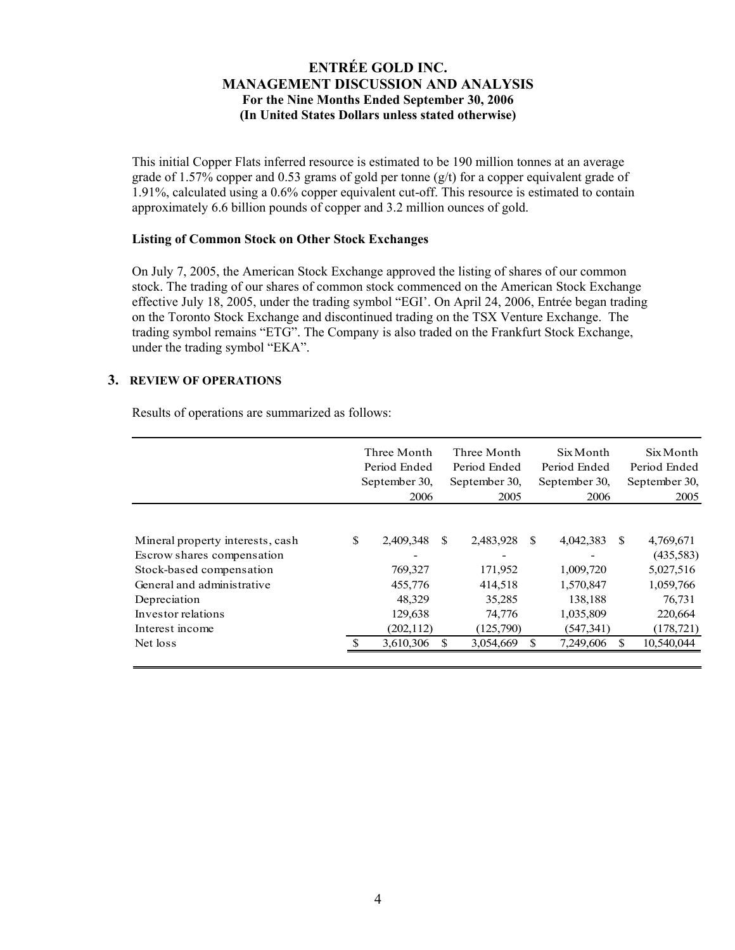This initial Copper Flats inferred resource is estimated to be 190 million tonnes at an average grade of 1.57% copper and 0.53 grams of gold per tonne  $(g/t)$  for a copper equivalent grade of 1.91%, calculated using a 0.6% copper equivalent cut-off. This resource is estimated to contain approximately 6.6 billion pounds of copper and 3.2 million ounces of gold.

#### **Listing of Common Stock on Other Stock Exchanges**

On July 7, 2005, the American Stock Exchange approved the listing of shares of our common stock. The trading of our shares of common stock commenced on the American Stock Exchange effective July 18, 2005, under the trading symbol "EGI'. On April 24, 2006, Entrée began trading on the Toronto Stock Exchange and discontinued trading on the TSX Venture Exchange. The trading symbol remains "ETG". The Company is also traded on the Frankfurt Stock Exchange, under the trading symbol "EKA".

## **3. REVIEW OF OPERATIONS**

Results of operations are summarized as follows:

|                                  | Three Month<br>Period Ended<br>September 30,<br>2006 |     | Three Month<br>Period Ended<br>September 30,<br>2005 |               | Six Month<br>Period Ended<br>September 30,<br>2006 |               | Six Month<br>Period Ended<br>September 30,<br>2005 |
|----------------------------------|------------------------------------------------------|-----|------------------------------------------------------|---------------|----------------------------------------------------|---------------|----------------------------------------------------|
|                                  |                                                      |     |                                                      |               |                                                    |               |                                                    |
| Mineral property interests, cash | \$<br>2,409,348                                      | \$. | 2,483,928                                            | <sup>\$</sup> | 4,042,383                                          | <sup>\$</sup> | 4,769,671                                          |
| Escrow shares compensation       |                                                      |     |                                                      |               |                                                    |               | (435,583)                                          |
| Stock-based compensation         | 769,327                                              |     | 171,952                                              |               | 1,009,720                                          |               | 5,027,516                                          |
| General and administrative       | 455,776                                              |     | 414,518                                              |               | 1,570,847                                          |               | 1,059,766                                          |
| Depreciation                     | 48,329                                               |     | 35,285                                               |               | 138,188                                            |               | 76,731                                             |
| Investor relations               | 129,638                                              |     | 74,776                                               |               | 1,035,809                                          |               | 220,664                                            |
| Interest income                  | (202, 112)                                           |     | (125,790)                                            |               | (547, 341)                                         |               | (178, 721)                                         |
| Net loss                         | 3,610,306                                            |     | 3,054,669                                            |               | 7,249,606                                          | \$.           | 10,540,044                                         |
|                                  |                                                      |     |                                                      |               |                                                    |               |                                                    |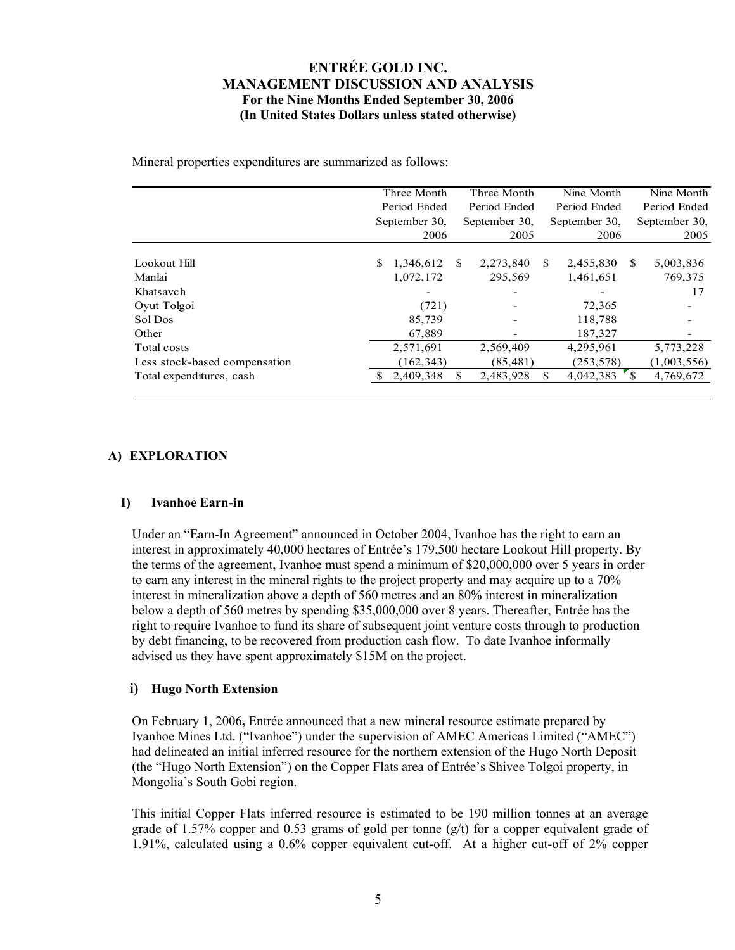Mineral properties expenditures are summarized as follows:

|                               | Three Month   |            |               | Three Month   |     | Nine Month    |              | Nine Month    |  |
|-------------------------------|---------------|------------|---------------|---------------|-----|---------------|--------------|---------------|--|
|                               | Period Ended  |            |               | Period Ended  |     | Period Ended  |              | Period Ended  |  |
|                               | September 30, |            |               | September 30, |     | September 30, |              | September 30, |  |
|                               |               | 2006       |               | 2005          |     | 2006          |              | 2005          |  |
|                               |               |            |               |               |     |               |              |               |  |
| Lookout Hill                  | S.            | 1,346,612  | <sup>\$</sup> | 2,273,840     | \$. | 2,455,830     | <sup>S</sup> | 5,003,836     |  |
| Manlai                        |               | 1,072,172  |               | 295,569       |     | 1,461,651     |              | 769,375       |  |
| Khatsavch                     |               |            |               |               |     |               |              | 17            |  |
| Oyut Tolgoi                   |               | (721)      |               |               |     | 72,365        |              |               |  |
| Sol Dos                       |               | 85,739     |               |               |     | 118,788       |              |               |  |
| Other                         |               | 67,889     |               |               |     | 187,327       |              |               |  |
| Total costs                   |               | 2,571,691  |               | 2,569,409     |     | 4,295,961     |              | 5,773,228     |  |
| Less stock-based compensation |               | (162, 343) |               | (85, 481)     |     | (253, 578)    |              | (1,003,556)   |  |
| Total expenditures, cash      |               | 2,409,348  | S             | 2,483,928     | \$  | 4,042,383     |              | 4,769,672     |  |
|                               |               |            |               |               |     |               |              |               |  |

# **A) EXPLORATION**

## **I) Ivanhoe Earn-in**

Under an "Earn-In Agreement" announced in October 2004, Ivanhoe has the right to earn an interest in approximately 40,000 hectares of Entrée's 179,500 hectare Lookout Hill property. By the terms of the agreement, Ivanhoe must spend a minimum of \$20,000,000 over 5 years in order to earn any interest in the mineral rights to the project property and may acquire up to a 70% interest in mineralization above a depth of 560 metres and an 80% interest in mineralization below a depth of 560 metres by spending \$35,000,000 over 8 years. Thereafter, Entrée has the right to require Ivanhoe to fund its share of subsequent joint venture costs through to production by debt financing, to be recovered from production cash flow. To date Ivanhoe informally advised us they have spent approximately \$15M on the project.

## **i) Hugo North Extension**

On February 1, 2006**,** Entrée announced that a new mineral resource estimate prepared by Ivanhoe Mines Ltd. ("Ivanhoe") under the supervision of AMEC Americas Limited ("AMEC") had delineated an initial inferred resource for the northern extension of the Hugo North Deposit (the "Hugo North Extension") on the Copper Flats area of Entrée's Shivee Tolgoi property, in Mongolia's South Gobi region.

This initial Copper Flats inferred resource is estimated to be 190 million tonnes at an average grade of 1.57% copper and 0.53 grams of gold per tonne  $(g/t)$  for a copper equivalent grade of 1.91%, calculated using a 0.6% copper equivalent cut-off. At a higher cut-off of 2% copper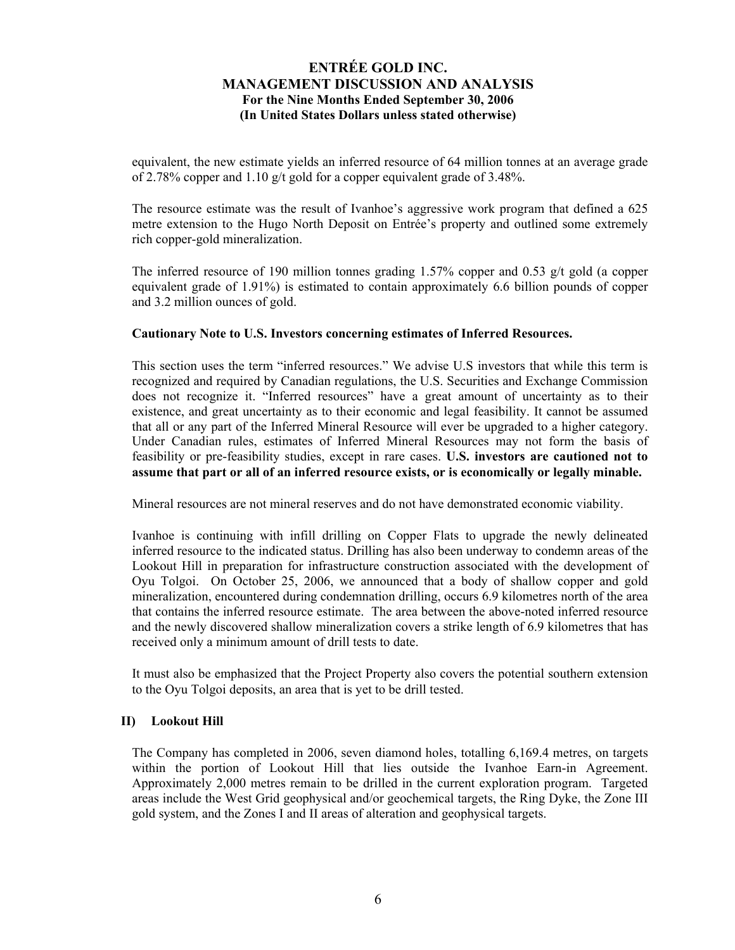equivalent, the new estimate yields an inferred resource of 64 million tonnes at an average grade of 2.78% copper and 1.10 g/t gold for a copper equivalent grade of 3.48%.

The resource estimate was the result of Ivanhoe's aggressive work program that defined a 625 metre extension to the Hugo North Deposit on Entrée's property and outlined some extremely rich copper-gold mineralization.

The inferred resource of 190 million tonnes grading 1.57% copper and 0.53 g/t gold (a copper equivalent grade of 1.91%) is estimated to contain approximately 6.6 billion pounds of copper and 3.2 million ounces of gold.

#### **Cautionary Note to U.S. Investors concerning estimates of Inferred Resources.**

This section uses the term "inferred resources." We advise U.S investors that while this term is recognized and required by Canadian regulations, the U.S. Securities and Exchange Commission does not recognize it. "Inferred resources" have a great amount of uncertainty as to their existence, and great uncertainty as to their economic and legal feasibility. It cannot be assumed that all or any part of the Inferred Mineral Resource will ever be upgraded to a higher category. Under Canadian rules, estimates of Inferred Mineral Resources may not form the basis of feasibility or pre-feasibility studies, except in rare cases. **U.S. investors are cautioned not to assume that part or all of an inferred resource exists, or is economically or legally minable.** 

Mineral resources are not mineral reserves and do not have demonstrated economic viability.

Ivanhoe is continuing with infill drilling on Copper Flats to upgrade the newly delineated inferred resource to the indicated status. Drilling has also been underway to condemn areas of the Lookout Hill in preparation for infrastructure construction associated with the development of Oyu Tolgoi. On October 25, 2006, we announced that a body of shallow copper and gold mineralization, encountered during condemnation drilling, occurs 6.9 kilometres north of the area that contains the inferred resource estimate. The area between the above-noted inferred resource and the newly discovered shallow mineralization covers a strike length of 6.9 kilometres that has received only a minimum amount of drill tests to date.

It must also be emphasized that the Project Property also covers the potential southern extension to the Oyu Tolgoi deposits, an area that is yet to be drill tested.

#### **II) Lookout Hill**

The Company has completed in 2006, seven diamond holes, totalling 6,169.4 metres, on targets within the portion of Lookout Hill that lies outside the Ivanhoe Earn-in Agreement. Approximately 2,000 metres remain to be drilled in the current exploration program. Targeted areas include the West Grid geophysical and/or geochemical targets, the Ring Dyke, the Zone III gold system, and the Zones I and II areas of alteration and geophysical targets.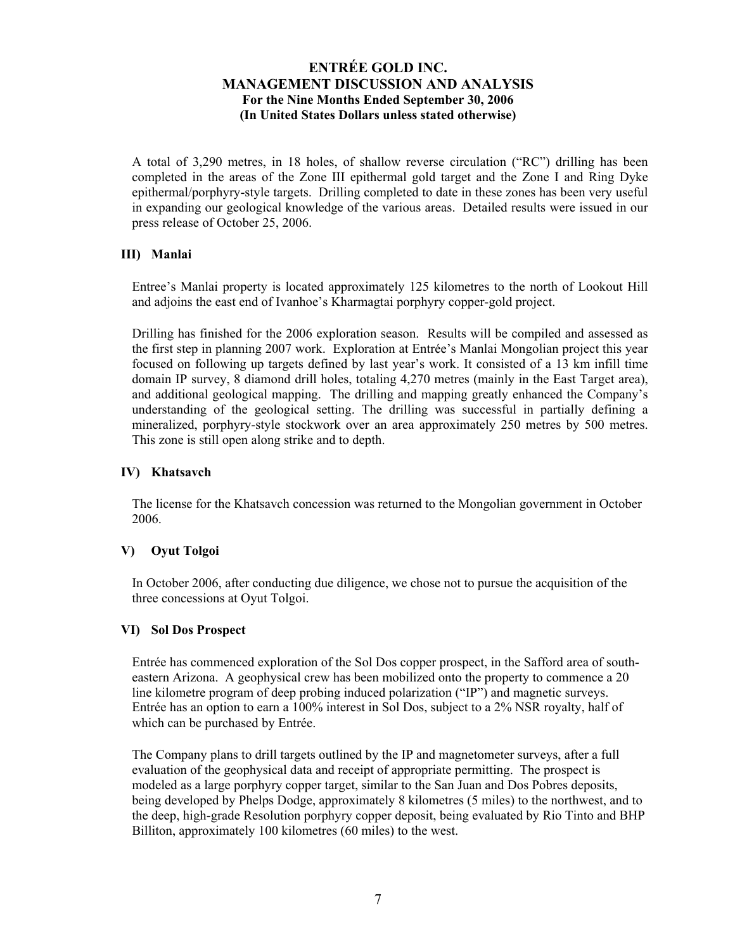A total of 3,290 metres, in 18 holes, of shallow reverse circulation ("RC") drilling has been completed in the areas of the Zone III epithermal gold target and the Zone I and Ring Dyke epithermal/porphyry-style targets. Drilling completed to date in these zones has been very useful in expanding our geological knowledge of the various areas. Detailed results were issued in our press release of October 25, 2006.

## **III) Manlai**

Entree's Manlai property is located approximately 125 kilometres to the north of Lookout Hill and adjoins the east end of Ivanhoe's Kharmagtai porphyry copper-gold project.

Drilling has finished for the 2006 exploration season. Results will be compiled and assessed as the first step in planning 2007 work. Exploration at Entrée's Manlai Mongolian project this year focused on following up targets defined by last year's work. It consisted of a 13 km infill time domain IP survey, 8 diamond drill holes, totaling 4,270 metres (mainly in the East Target area), and additional geological mapping. The drilling and mapping greatly enhanced the Company's understanding of the geological setting. The drilling was successful in partially defining a mineralized, porphyry-style stockwork over an area approximately 250 metres by 500 metres. This zone is still open along strike and to depth.

## **IV) Khatsavch**

The license for the Khatsavch concession was returned to the Mongolian government in October 2006.

## **V) Oyut Tolgoi**

In October 2006, after conducting due diligence, we chose not to pursue the acquisition of the three concessions at Oyut Tolgoi.

## **VI) Sol Dos Prospect**

Entrée has commenced exploration of the Sol Dos copper prospect, in the Safford area of southeastern Arizona. A geophysical crew has been mobilized onto the property to commence a 20 line kilometre program of deep probing induced polarization ("IP") and magnetic surveys. Entrée has an option to earn a 100% interest in Sol Dos, subject to a 2% NSR royalty, half of which can be purchased by Entrée.

The Company plans to drill targets outlined by the IP and magnetometer surveys, after a full evaluation of the geophysical data and receipt of appropriate permitting. The prospect is modeled as a large porphyry copper target, similar to the San Juan and Dos Pobres deposits, being developed by Phelps Dodge, approximately 8 kilometres (5 miles) to the northwest, and to the deep, high-grade Resolution porphyry copper deposit, being evaluated by Rio Tinto and BHP Billiton, approximately 100 kilometres (60 miles) to the west.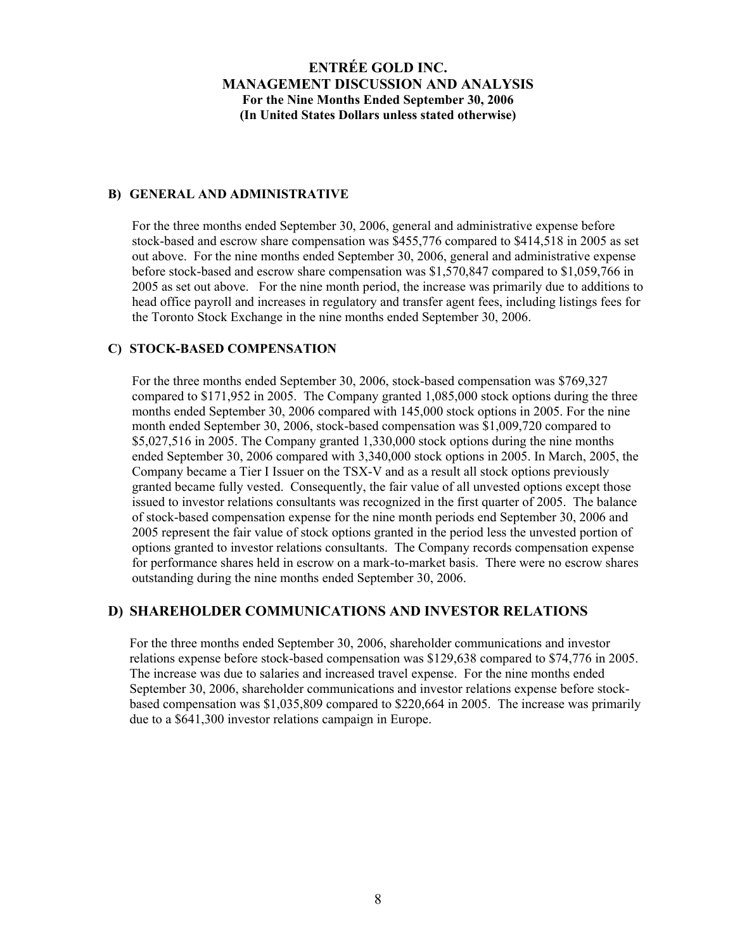#### **B) GENERAL AND ADMINISTRATIVE**

For the three months ended September 30, 2006, general and administrative expense before stock-based and escrow share compensation was \$455,776 compared to \$414,518 in 2005 as set out above. For the nine months ended September 30, 2006, general and administrative expense before stock-based and escrow share compensation was \$1,570,847 compared to \$1,059,766 in 2005 as set out above. For the nine month period, the increase was primarily due to additions to head office payroll and increases in regulatory and transfer agent fees, including listings fees for the Toronto Stock Exchange in the nine months ended September 30, 2006.

### **C) STOCK-BASED COMPENSATION**

For the three months ended September 30, 2006, stock-based compensation was \$769,327 compared to \$171,952 in 2005. The Company granted 1,085,000 stock options during the three months ended September 30, 2006 compared with 145,000 stock options in 2005. For the nine month ended September 30, 2006, stock-based compensation was \$1,009,720 compared to \$5,027,516 in 2005. The Company granted 1,330,000 stock options during the nine months ended September 30, 2006 compared with 3,340,000 stock options in 2005. In March, 2005, the Company became a Tier I Issuer on the TSX-V and as a result all stock options previously granted became fully vested. Consequently, the fair value of all unvested options except those issued to investor relations consultants was recognized in the first quarter of 2005. The balance of stock-based compensation expense for the nine month periods end September 30, 2006 and 2005 represent the fair value of stock options granted in the period less the unvested portion of options granted to investor relations consultants. The Company records compensation expense for performance shares held in escrow on a mark-to-market basis. There were no escrow shares outstanding during the nine months ended September 30, 2006.

## **D) SHAREHOLDER COMMUNICATIONS AND INVESTOR RELATIONS**

For the three months ended September 30, 2006, shareholder communications and investor relations expense before stock-based compensation was \$129,638 compared to \$74,776 in 2005. The increase was due to salaries and increased travel expense. For the nine months ended September 30, 2006, shareholder communications and investor relations expense before stockbased compensation was \$1,035,809 compared to \$220,664 in 2005. The increase was primarily due to a \$641,300 investor relations campaign in Europe.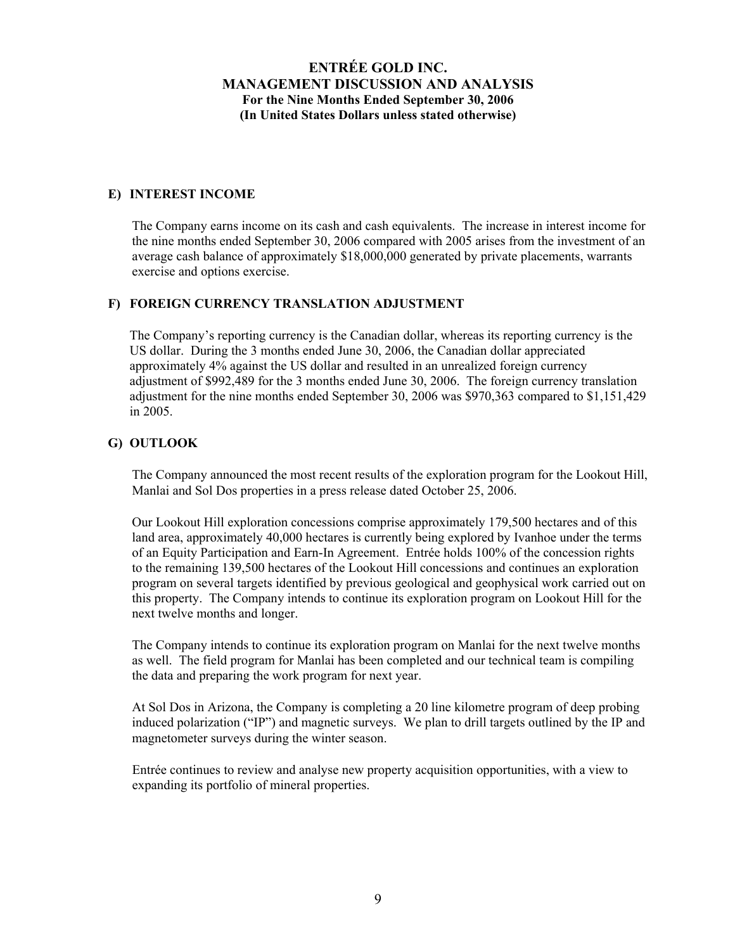### **E) INTEREST INCOME**

The Company earns income on its cash and cash equivalents. The increase in interest income for the nine months ended September 30, 2006 compared with 2005 arises from the investment of an average cash balance of approximately \$18,000,000 generated by private placements, warrants exercise and options exercise.

# **F) FOREIGN CURRENCY TRANSLATION ADJUSTMENT**

The Company's reporting currency is the Canadian dollar, whereas its reporting currency is the US dollar. During the 3 months ended June 30, 2006, the Canadian dollar appreciated approximately 4% against the US dollar and resulted in an unrealized foreign currency adjustment of \$992,489 for the 3 months ended June 30, 2006. The foreign currency translation adjustment for the nine months ended September 30, 2006 was \$970,363 compared to \$1,151,429 in 2005.

#### **G) OUTLOOK**

The Company announced the most recent results of the exploration program for the Lookout Hill, Manlai and Sol Dos properties in a press release dated October 25, 2006.

Our Lookout Hill exploration concessions comprise approximately 179,500 hectares and of this land area, approximately 40,000 hectares is currently being explored by Ivanhoe under the terms of an Equity Participation and Earn-In Agreement. Entrée holds 100% of the concession rights to the remaining 139,500 hectares of the Lookout Hill concessions and continues an exploration program on several targets identified by previous geological and geophysical work carried out on this property. The Company intends to continue its exploration program on Lookout Hill for the next twelve months and longer.

The Company intends to continue its exploration program on Manlai for the next twelve months as well. The field program for Manlai has been completed and our technical team is compiling the data and preparing the work program for next year.

At Sol Dos in Arizona, the Company is completing a 20 line kilometre program of deep probing induced polarization ("IP") and magnetic surveys. We plan to drill targets outlined by the IP and magnetometer surveys during the winter season.

Entrée continues to review and analyse new property acquisition opportunities, with a view to expanding its portfolio of mineral properties.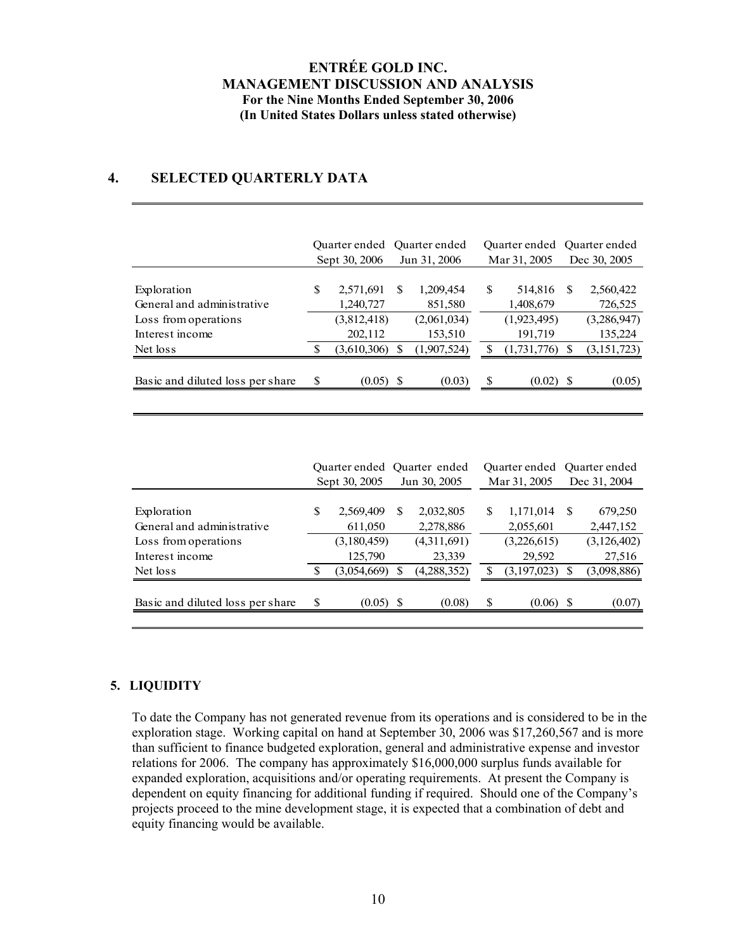# **4. SELECTED QUARTERLY DATA**

|                                  | Ouarter ended Ouarter ended<br>Sept 30, 2006 |             |   | Jun 31, 2006 |    | Quarter ended<br>Mar 31, 2005 | Ouarter ended<br>Dec 30, 2005 |               |
|----------------------------------|----------------------------------------------|-------------|---|--------------|----|-------------------------------|-------------------------------|---------------|
| Exploration                      | S                                            | 2,571,691   | S | 1,209,454    | \$ | 514,816                       | S                             | 2,560,422     |
| General and administrative       |                                              | 1,240,727   |   | 851,580      |    | 1,408,679                     |                               | 726,525       |
| Loss from operations             |                                              | (3,812,418) |   | (2,061,034)  |    | (1,923,495)                   |                               | (3,286,947)   |
| Interest income                  |                                              | 202,112     |   | 153,510      |    | 191,719                       |                               | 135,224       |
| Net loss                         |                                              | (3,610,306) |   | (1,907,524)  | S  | (1,731,776)                   |                               | (3, 151, 723) |
|                                  |                                              |             |   |              |    |                               |                               |               |
| Basic and diluted loss per share | \$                                           | $(0.05)$ \$ |   | (0.03)       | \$ | $(0.02)$ \$                   |                               | (0.05)        |

|                                  | Quarter ended Quarter ended |              |              |             |              | Quarter ended | Ouarter ended |               |  |
|----------------------------------|-----------------------------|--------------|--------------|-------------|--------------|---------------|---------------|---------------|--|
|                                  | Sept 30, 2005               |              | Jun 30, 2005 |             | Mar 31, 2005 |               |               | Dec 31, 2004  |  |
| Exploration                      | S                           | 2,569,409    | \$.          | 2,032,805   | \$           | 1,171,014     | -S            | 679,250       |  |
| General and administrative       |                             | 611,050      |              | 2,278,886   |              | 2,055,601     |               | 2,447,152     |  |
| Loss from operations             |                             | (3,180,459)  |              | (4,311,691) |              | (3,226,615)   |               | (3, 126, 402) |  |
| Interest income                  |                             | 125,790      |              | 23,339      |              | 29,592        |               | 27,516        |  |
| Net loss                         | S                           | (3.054, 669) |              | (4,288,352) |              | (3,197,023)   |               | (3,098,886)   |  |
| Basic and diluted loss per share | S                           | $(0.05)$ \$  |              | (0.08)      | \$           | $(0.06)$ \$   |               | (0.07)        |  |
|                                  |                             |              |              |             |              |               |               |               |  |

# **5. LIQUIDITY**

To date the Company has not generated revenue from its operations and is considered to be in the exploration stage. Working capital on hand at September 30, 2006 was \$17,260,567 and is more than sufficient to finance budgeted exploration, general and administrative expense and investor relations for 2006. The company has approximately \$16,000,000 surplus funds available for expanded exploration, acquisitions and/or operating requirements. At present the Company is dependent on equity financing for additional funding if required. Should one of the Company's projects proceed to the mine development stage, it is expected that a combination of debt and equity financing would be available.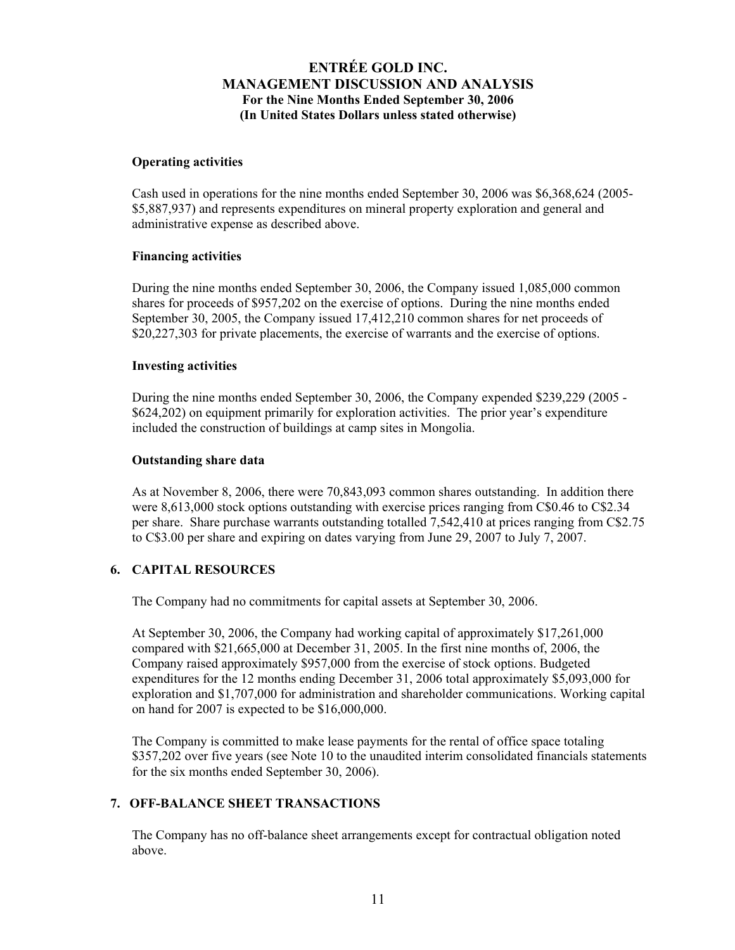### **Operating activities**

Cash used in operations for the nine months ended September 30, 2006 was \$6,368,624 (2005- \$5,887,937) and represents expenditures on mineral property exploration and general and administrative expense as described above.

#### **Financing activities**

During the nine months ended September 30, 2006, the Company issued 1,085,000 common shares for proceeds of \$957,202 on the exercise of options. During the nine months ended September 30, 2005, the Company issued 17,412,210 common shares for net proceeds of \$20,227,303 for private placements, the exercise of warrants and the exercise of options.

#### **Investing activities**

During the nine months ended September 30, 2006, the Company expended \$239,229 (2005 - \$624,202) on equipment primarily for exploration activities. The prior year's expenditure included the construction of buildings at camp sites in Mongolia.

#### **Outstanding share data**

As at November 8, 2006, there were 70,843,093 common shares outstanding. In addition there were 8,613,000 stock options outstanding with exercise prices ranging from C\$0.46 to C\$2.34 per share. Share purchase warrants outstanding totalled 7,542,410 at prices ranging from C\$2.75 to C\$3.00 per share and expiring on dates varying from June 29, 2007 to July 7, 2007.

## **6. CAPITAL RESOURCES**

The Company had no commitments for capital assets at September 30, 2006.

At September 30, 2006, the Company had working capital of approximately \$17,261,000 compared with \$21,665,000 at December 31, 2005. In the first nine months of, 2006, the Company raised approximately \$957,000 from the exercise of stock options. Budgeted expenditures for the 12 months ending December 31, 2006 total approximately \$5,093,000 for exploration and \$1,707,000 for administration and shareholder communications. Working capital on hand for 2007 is expected to be \$16,000,000.

The Company is committed to make lease payments for the rental of office space totaling \$357,202 over five years (see Note 10 to the unaudited interim consolidated financials statements for the six months ended September 30, 2006).

## **7. OFF-BALANCE SHEET TRANSACTIONS**

The Company has no off-balance sheet arrangements except for contractual obligation noted above.